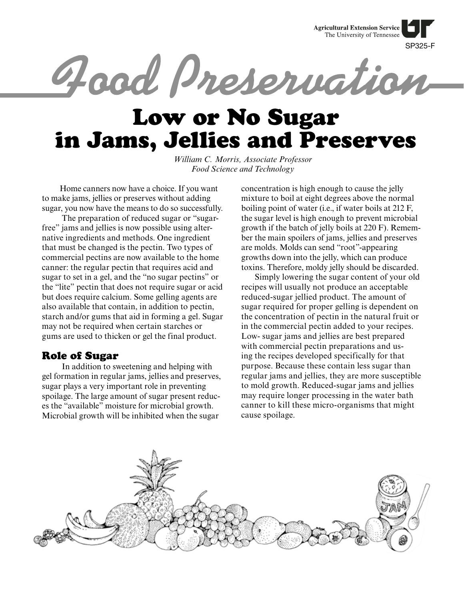**Agricultural Extension Service** The University of Tennessee

SP325-F Road Preservation

# Low or No Sugar in Jams, Jellies and Preserves

*William C. Morris, Associate Professor Food Science and Technology*

 Home canners now have a choice. If you want to make jams, jellies or preserves without adding sugar, you now have the means to do so successfully.

 The preparation of reduced sugar or "sugarfree" jams and jellies is now possible using alternative ingredients and methods. One ingredient that must be changed is the pectin. Two types of commercial pectins are now available to the home canner: the regular pectin that requires acid and sugar to set in a gel, and the "no sugar pectins" or the "lite" pectin that does not require sugar or acid but does require calcium. Some gelling agents are also available that contain, in addition to pectin, starch and/or gums that aid in forming a gel. Sugar may not be required when certain starches or gums are used to thicken or gel the final product.

# Role of Sugar

 In addition to sweetening and helping with gel formation in regular jams, jellies and preserves, sugar plays a very important role in preventing spoilage. The large amount of sugar present reduces the "available" moisture for microbial growth. Microbial growth will be inhibited when the sugar

concentration is high enough to cause the jelly mixture to boil at eight degrees above the normal boiling point of water (i.e., if water boils at 212 F, the sugar level is high enough to prevent microbial growth if the batch of jelly boils at 220 F). Remember the main spoilers of jams, jellies and preserves are molds. Molds can send "root"-appearing growths down into the jelly, which can produce toxins. Therefore, moldy jelly should be discarded.

Simply lowering the sugar content of your old recipes will usually not produce an acceptable reduced-sugar jellied product. The amount of sugar required for proper gelling is dependent on the concentration of pectin in the natural fruit or in the commercial pectin added to your recipes. Low- sugar jams and jellies are best prepared with commercial pectin preparations and using the recipes developed specifically for that purpose. Because these contain less sugar than regular jams and jellies, they are more susceptible to mold growth. Reduced-sugar jams and jellies may require longer processing in the water bath canner to kill these micro-organisms that might cause spoilage.

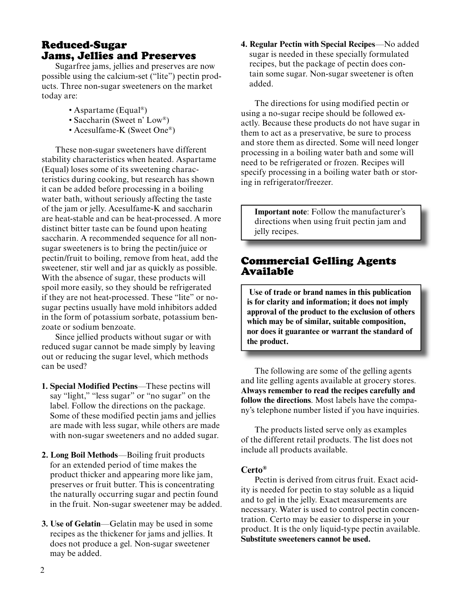# Reduced-Sugar Jams, Jellies and Preserves

Sugarfree jams, jellies and preserves are now possible using the calcium-set ("lite") pectin products. Three non-sugar sweeteners on the market today are:

- Aspartame (Equal®)
- Saccharin (Sweet n' Low®)
- Acesulfame-K (Sweet One®)

These non-sugar sweeteners have different stability characteristics when heated. Aspartame (Equal) loses some of its sweetening characteristics during cooking, but research has shown it can be added before processing in a boiling water bath, without seriously affecting the taste of the jam or jelly. Acesulfame-K and saccharin are heat-stable and can be heat-processed. A more distinct bitter taste can be found upon heating saccharin. A recommended sequence for all nonsugar sweeteners is to bring the pectin/juice or pectin/fruit to boiling, remove from heat, add the sweetener, stir well and jar as quickly as possible. With the absence of sugar, these products will spoil more easily, so they should be refrigerated if they are not heat-processed. These "lite" or nosugar pectins usually have mold inhibitors added in the form of potassium sorbate, potassium benzoate or sodium benzoate.

Since jellied products without sugar or with reduced sugar cannot be made simply by leaving out or reducing the sugar level, which methods can be used?

- **1. Special Modified Pectins**—These pectins will say "light," "less sugar" or "no sugar" on the label. Follow the directions on the package. Some of these modified pectin jams and jellies are made with less sugar, while others are made with non-sugar sweeteners and no added sugar.
- **2. Long Boil Methods—Boiling fruit products**  for an extended period of time makes the product thicker and appearing more like jam, preserves or fruit butter. This is concentrating the naturally occurring sugar and pectin found in the fruit. Non-sugar sweetener may be added.
- **3. Use of Gelatin**—Gelatin may be used in some recipes as the thickener for jams and jellies. It does not produce a gel. Non-sugar sweetener may be added.

**4. Regular Pectin with Special Recipes**—No added sugar is needed in these specially formulated recipes, but the package of pectin does contain some sugar. Non-sugar sweetener is often added.

The directions for using modified pectin or using a no-sugar recipe should be followed exactly. Because these products do not have sugar in them to act as a preservative, be sure to process and store them as directed. Some will need longer processing in a boiling water bath and some will need to be refrigerated or frozen. Recipes will specify processing in a boiling water bath or storing in refrigerator/freezer.

**Important note:** Follow the manufacturer's directions when using fruit pectin jam and jelly recipes.

# Commercial Gelling Agents Available

Use of trade or brand names in this publication **is for clarity and information; it does not imply**  approval of the product to the exclusion of others which may be of similar, suitable composition, nor does it guarantee or warrant the standard of **the product.**

The following are some of the gelling agents and lite gelling agents available at grocery stores. **Always remember to read the recipes carefully and**  follow the directions. Most labels have the company's telephone number listed if you have inquiries.

The products listed serve only as examples of the different retail products. The list does not include all products available.

# **Certo®**

 $\overline{a}$ 

 $\overline{a}$ 

Pectin is derived from citrus fruit. Exact acidity is needed for pectin to stay soluble as a liquid and to gel in the jelly. Exact measurements are necessary. Water is used to control pectin concentration. Certo may be easier to disperse in your product. It is the only liquid-type pectin available. **Substitute sweeteners cannot be used.**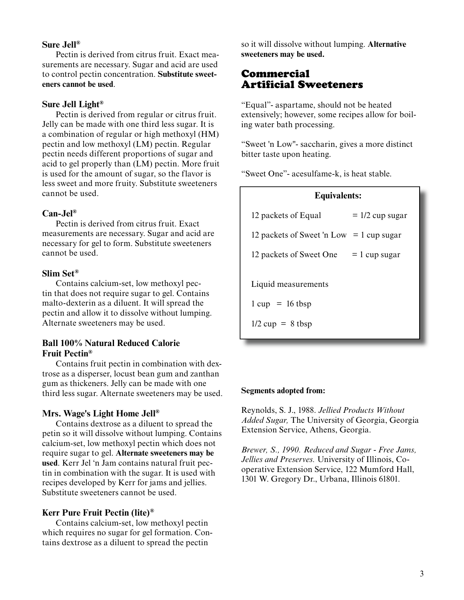## **Sure Jell®**

Pectin is derived from citrus fruit. Exact measurements are necessary. Sugar and acid are used to control pectin concentration. **Substitute sweeteners cannot be used**.

### **Sure Jell Light®**

Pectin is derived from regular or citrus fruit. Jelly can be made with one third less sugar. It is a combination of regular or high methoxyl (HM) pectin and low methoxyl (LM) pectin. Regular pectin needs different proportions of sugar and acid to gel properly than (LM) pectin. More fruit is used for the amount of sugar, so the flavor is less sweet and more fruity. Substitute sweeteners cannot be used.

## **Can-Jel®**

Pectin is derived from citrus fruit. Exact measurements are necessary. Sugar and acid are necessary for gel to form. Substitute sweeteners cannot be used.

# **Slim Set®**

Contains calcium-set, low methoxyl pectin that does not require sugar to gel. Contains malto-dexterin as a diluent. It will spread the pectin and allow it to dissolve without lumping. Alternate sweeteners may be used.

# **Ball 100% Natural Reduced Calorie Fruit Pectin®**

Contains fruit pectin in combination with dextrose as a disperser, locust bean gum and zanthan gum as thickeners. Jelly can be made with one third less sugar. Alternate sweeteners may be used.

## **Mrs. Wage's Light Home Jell®**

Contains dextrose as a diluent to spread the petin so it will dissolve without lumping. Contains calcium-set, low methoxyl pectin which does not require sugar to gel. **Alternate sweeteners may be used**. Kerr Jel 'n Jam contains natural fruit pectin in combination with the sugar. It is used with recipes developed by Kerr for jams and jellies. Substitute sweeteners cannot be used.

## **Kerr Pure Fruit Pectin (lite)®**

Contains calcium-set, low methoxyl pectin which requires no sugar for gel formation. Contains dextrose as a diluent to spread the pectin

so it will dissolve without lumping. Alternative sweeteners may be used.

# **Commercial Artificial Sweeteners**

"Equal"- aspartame, should not be heated extensively; however, some recipes allow for boiling water bath processing.

"Sweet 'n Low"- saccharin, gives a more distinct bitter taste upon heating.

"Sweet One"- acesulfame-k, is heat stable.

# **Equivalents:**

| 12 packets of Equal                      | $= 1/2$ cup sugar |
|------------------------------------------|-------------------|
| 12 packets of Sweet 'n Low = 1 cup sugar |                   |
| 12 packets of Sweet One                  | $= 1$ cup sugar   |
| Liquid measurements                      |                   |
| $1 cup = 16 t bsp$                       |                   |
| $1/2$ cup = 8 tbsp                       |                   |

#### **Segments adopted from:**

Reynolds, S. J., 1988. *Jellied Products Without Added Sugar,* The University of Georgia, Georgia Extension Service, Athens, Georgia.

*Brewer, S., 1990. Reduced and Sugar - Free Jams, Jellies and Preserves.* University of Illinois, Cooperative Extension Service, 122 Mumford Hall, 1301 W. Gregory Dr., Urbana, Illinois 61801.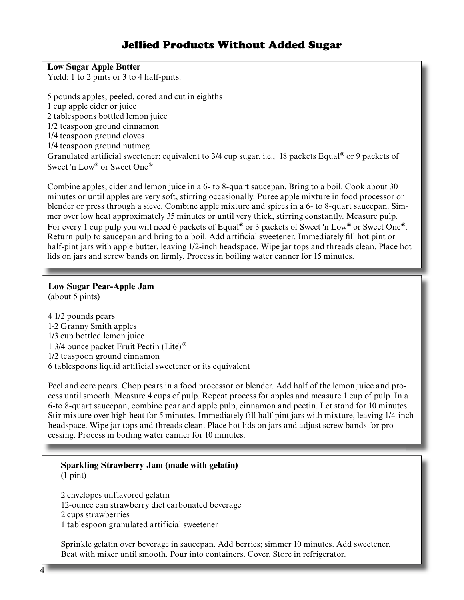# Jellied Products Without Added Sugar

**Low Sugar Apple Butter**

Yield: 1 to 2 pints or 3 to 4 half-pints.

5 pounds apples, peeled, cored and cut in eighths 1 cup apple cider or juice 2 tablespoons bottled lemon juice 1/2 teaspoon ground cinnamon 1/4 teaspoon ground cloves 1/4 teaspoon ground nutmeg Granulated artificial sweetener; equivalent to 3/4 cup sugar, i.e., 18 packets Equal<sup>®</sup> or 9 packets of Sweet 'n Low**®** or Sweet One**®**

Combine apples, cider and lemon juice in a 6- to 8-quart saucepan. Bring to a boil. Cook about 30 minutes or until apples are very soft, stirring occasionally. Puree apple mixture in food processor or blender or press through a sieve. Combine apple mixture and spices in a 6- to 8-quart saucepan. Simmer over low heat approximately 35 minutes or until very thick, stirring constantly. Measure pulp. For every 1 cup pulp you will need 6 packets of Equal**®** or 3 packets of Sweet 'n Low**®** or Sweet One**®**. Return pulp to saucepan and bring to a boil. Add artificial sweetener. Immediately fill hot pint or half-pint jars with apple butter, leaving 1/2-inch headspace. Wipe jar tops and threads clean. Place hot lids on jars and screw bands on firmly. Process in boiling water canner for 15 minutes.

# **Low Sugar Pear-Apple Jam**

(about 5 pints)

4 1/2 pounds pears 1-2 Granny Smith apples 1/3 cup bottled lemon juice 1 3/4 ounce packet Fruit Pectin (Lite) **®** 1/2 teaspoon ground cinnamon 6 tablespoons liquid artificial sweetener or its equivalent

Peel and core pears. Chop pears in a food processor or blender. Add half of the lemon juice and process until smooth. Measure 4 cups of pulp. Repeat process for apples and measure 1 cup of pulp. In a 6-to 8-quart saucepan, com bine pear and apple pulp, cinnamon and pectin. Let stand for 10 minutes. Stir mixture over high heat for 5 minutes. Immediately fill half-pint jars with mixture, leaving 1/4-inch headspace. Wipe jar tops and threads clean. Place hot lids on jars and adjust screw bands for processing. Process in boiling water canner for 10 minutes.

# **Sparkling Strawberry Jam (made with gelatin)** (1 pint)

2 envelopes unflavored gelatin 12-ounce can strawberry diet carbonated beverage 2 cups strawberries 1 tablespoon granulated artificial sweetener

Sprinkle gelatin over beverage in saucepan. Add berries; simmer 10 minutes. Add sweetener. Beat with mixer until smooth. Pour into containers. Cover. Store in refrigerator.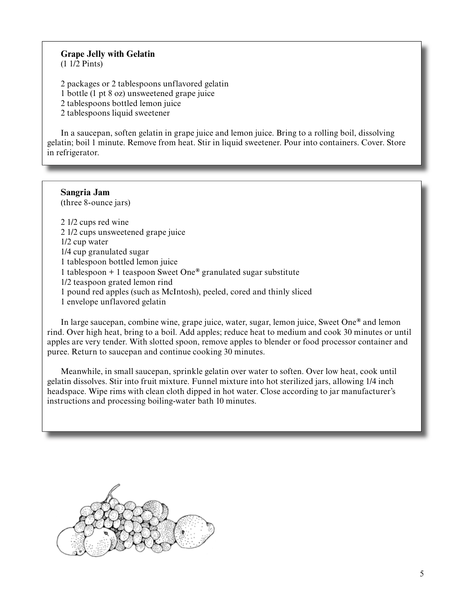# **Grape Jelly with Gelatin**

(1 1/2 Pints)

ֺ֘֒

L

2 packages or 2 tablespoons unflavored gelatin 1 bottle (1 pt 8 oz) unsweetened grape juice 2 tablespoons bottled lemon juice 2 tablespoons liquid sweetener

In a saucepan, soften gelatin in grape juice and lemon juice. Bring to a rolling boil, dissolving gelatin; boil 1 minute. Remove from heat. Stir in liquid sweetener. Pour into containers. Cover. Store in refrigerator.

# **Sangria Jam**

(three 8-ounce jars)

2 1/2 cups red wine 2 1/2 cups unsweetened grape juice 1/2 cup water 1/4 cup granulated sugar 1 tablespoon bottled lemon juice 1 tablespoon + 1 teaspoon Sweet One**®** granulated sugar substitute 1/2 teaspoon grated lemon rind 1 pound red apples (such as McIntosh), peeled, cored and thinly sliced 1 envelope unflavored gelatin

In large saucepan, combine wine, grape juice, water, sugar, lemon juice, Sweet One**®** and lemon rind. Over high heat, bring to a boil. Add apples; reduce heat to medium and cook 30 minutes or until apples are very tender. With slotted spoon, remove apples to blender or food processor container and puree. Return to saucepan and continue cooking 30 minutes.

Meanwhile, in small saucepan, sprinkle gelatin over water to soften. Over low heat, cook until gelatin dissolves. Stir into fruit mixture. Funnel mixture into hot sterilized jars, allowing  $1/4$  inch headspace. Wipe rims with clean cloth dipped in hot water. Close according to jar manufacturer's instructions and processing boiling-water bath 10 minutes.

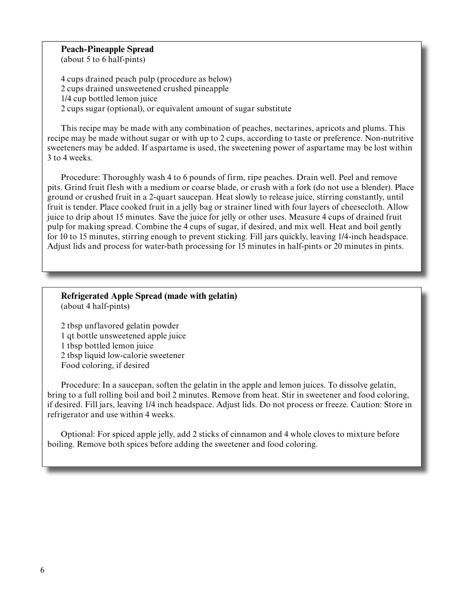### **Peach-Pineapple Spread** (about 5 to 6 half-pints)

4 cups drained peach pulp (procedure as below) 2 cups drained unsweetened crushed pineapple 1/4 cup bottled lemon juice 2 cups sugar (optional), or equivalent amount of sugar substitute

This recipe may be made with any combination of peaches, nectarines, apricots and plums. This recipe may be made without sugar or with up to 2 cups, according to taste or preference. Non-nutritive sweeteners may be added. If aspartame is used, the sweetening power of aspartame may be lost within 3 to 4 weeks.

Procedure: Thoroughly wash 4 to 6 pounds of firm, ripe peaches. Drain well. Peel and remove pits. Grind fruit flesh with a medium or coarse blade, or crush with a fork (do not use a blender). Place ground or crushed fruit in a 2-quart sauce pan. Heat slowly to release juice, stirring constantly, until fruit is tender. Place cooked fruit in a jelly bag or strainer lined with four layers of cheesecloth. Allow juice to drip about 15 minutes. Save the juice for jelly or other uses. Measure 4 cups of drained fruit pulp for making spread. Combine the 4 cups of sugar, if desired, and mix well. Heat and boil gently for 10 to 15 minutes, stirring enough to prevent sticking. Fill jars quickly, leaving 1/4-inch headspace. Adjust lids and process for water-bath processing for 15 minutes in half-pints or 20 minutes in pints.

# **Refrigerated Apple Spread (made with gelatin)**

(about 4 half-pints)

2 tbsp unflavored gelatin powder 1 qt bottle unsweetened apple juice 1 tbsp bottled lemon juice 2 tbsp liquid low-calorie sweetener Food coloring, if desired

Procedure: In a saucepan, soften the gelatin in the apple and lemon juices. To dissolve gelatin, bring to a full rolling boil and boil 2 minutes. Remove from heat. Stir in sweetener and food coloring, if desired. Fill jars, leaving 1/4 inch headspace. Adjust lids. Do not process or freeze. Caution: Store in refrigerator and use within 4 weeks.

Optional: For spiced apple jelly, add 2 sticks of cinnamon and 4 whole cloves to mixture before boiling. Remove both spices before adding the sweetener and food coloring.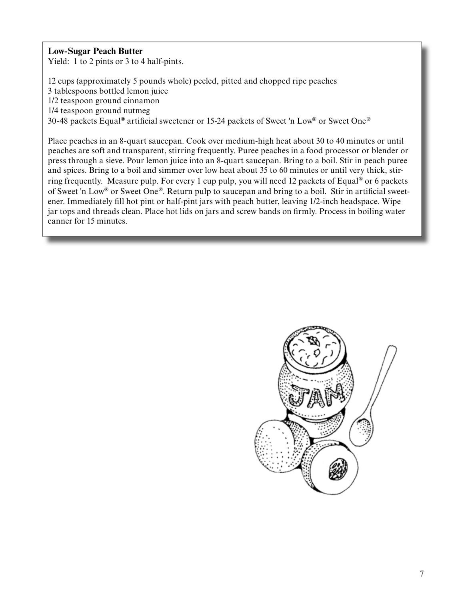# **Low-Sugar Peach Butter**

Yield: 1 to 2 pints or 3 to 4 half-pints.

12 cups (approximately 5 pounds whole) peeled, pitted and chopped ripe peaches 3 tablespoons bottled lemon juice 1/2 teaspoon ground cinnamon 1/4 teaspoon ground nutmeg 30-48 packets Equal<sup>®</sup> artificial sweetener or 15-24 packets of Sweet 'n Low<sup>®</sup> or Sweet One<sup>®</sup>

Place peaches in an 8-quart saucepan. Cook over medium-high heat about 30 to 40 minutes or until peaches are soft and transparent, stirring frequently. Puree peaches in a food processor or blender or press through a sieve. Pour lemon juice into an 8-quart saucepan. Bring to a boil. Stir in peach puree and spices. Bring to a boil and simmer over low heat about 35 to 60 minutes or until very thick, stirring frequently. Measure pulp. For every 1 cup pulp, you will need 12 packets of Equal**®** or 6 packets of Sweet 'n Low<sup>®</sup> or Sweet One<sup>®</sup>. Return pulp to saucepan and bring to a boil. Stir in artificial sweetener. Immediately fill hot pint or half-pint jars with peach butter, leaving 1/2-inch headspace. Wipe jar tops and threads clean. Place hot lids on jars and screw bands on firmly. Process in boiling water canner for 15 minutes.